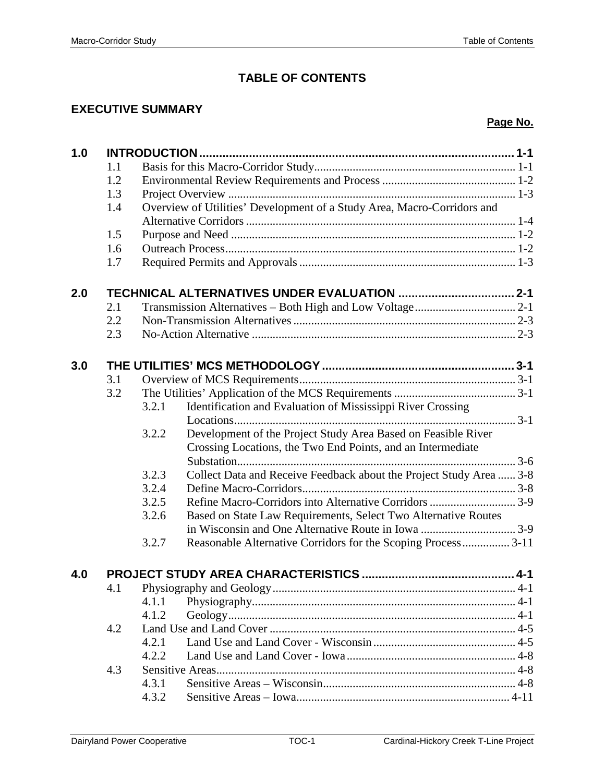# **TABLE OF CONTENTS**

### **EXECUTIVE SUMMARY**

### **Page No.**

| 1.1<br>1.2<br>1.3<br>Overview of Utilities' Development of a Study Area, Macro-Corridors and<br>1.4<br>1.5<br>1.6<br>1.7<br>TECHNICAL ALTERNATIVES UNDER EVALUATION  2-1<br>2.0<br>2.1<br>2.2<br>2.3 |  |
|------------------------------------------------------------------------------------------------------------------------------------------------------------------------------------------------------|--|
|                                                                                                                                                                                                      |  |
|                                                                                                                                                                                                      |  |
|                                                                                                                                                                                                      |  |
|                                                                                                                                                                                                      |  |
|                                                                                                                                                                                                      |  |
|                                                                                                                                                                                                      |  |
|                                                                                                                                                                                                      |  |
|                                                                                                                                                                                                      |  |
|                                                                                                                                                                                                      |  |
|                                                                                                                                                                                                      |  |
|                                                                                                                                                                                                      |  |
|                                                                                                                                                                                                      |  |
|                                                                                                                                                                                                      |  |
| 3.0                                                                                                                                                                                                  |  |
| 3.1                                                                                                                                                                                                  |  |
| 3.2                                                                                                                                                                                                  |  |
| 3.2.1<br>Identification and Evaluation of Mississippi River Crossing                                                                                                                                 |  |
|                                                                                                                                                                                                      |  |
| Development of the Project Study Area Based on Feasible River<br>3.2.2                                                                                                                               |  |
| Crossing Locations, the Two End Points, and an Intermediate                                                                                                                                          |  |
|                                                                                                                                                                                                      |  |
| Collect Data and Receive Feedback about the Project Study Area  3-8<br>3.2.3                                                                                                                         |  |
| 3.2.4                                                                                                                                                                                                |  |
| 3.2.5                                                                                                                                                                                                |  |
| Based on State Law Requirements, Select Two Alternative Routes<br>3.2.6                                                                                                                              |  |
|                                                                                                                                                                                                      |  |
| 3.2.7<br>Reasonable Alternative Corridors for the Scoping Process 3-11                                                                                                                               |  |
|                                                                                                                                                                                                      |  |
| 4.0                                                                                                                                                                                                  |  |
| 4.1                                                                                                                                                                                                  |  |
| 4.1.1                                                                                                                                                                                                |  |
| 4.1.2                                                                                                                                                                                                |  |
| 4.2                                                                                                                                                                                                  |  |
| 4.2.1                                                                                                                                                                                                |  |
| 4.2.2                                                                                                                                                                                                |  |
| 4.3                                                                                                                                                                                                  |  |
| 4.3.1                                                                                                                                                                                                |  |
| 4.3.2                                                                                                                                                                                                |  |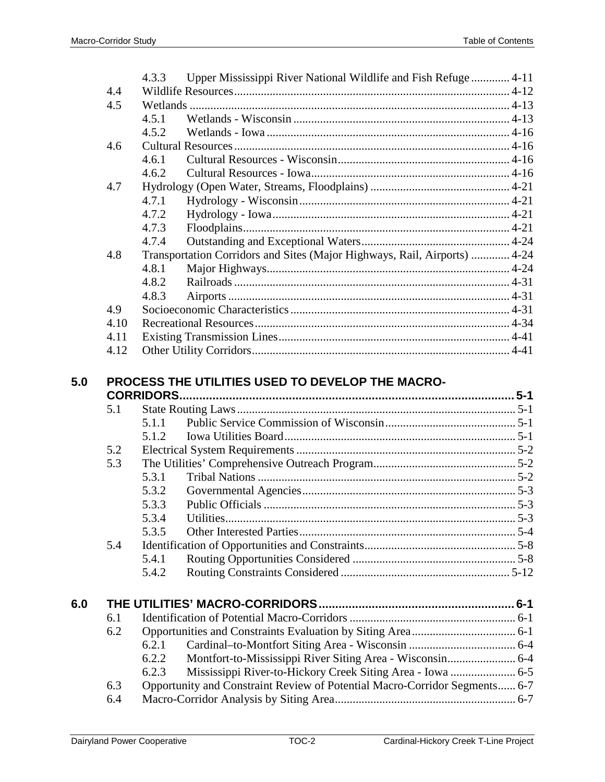|     |      | Upper Mississippi River National Wildlife and Fish Refuge  4-11<br>4.3.3   |  |
|-----|------|----------------------------------------------------------------------------|--|
|     | 4.4  |                                                                            |  |
|     | 4.5  |                                                                            |  |
|     |      | 4.5.1                                                                      |  |
|     |      | 4.5.2                                                                      |  |
|     | 4.6  |                                                                            |  |
|     |      | 4.6.1                                                                      |  |
|     |      | 4.6.2                                                                      |  |
|     | 4.7  |                                                                            |  |
|     |      | 4.7.1                                                                      |  |
|     |      | 4.7.2                                                                      |  |
|     |      | 4.7.3                                                                      |  |
|     |      | 4.7.4                                                                      |  |
|     | 4.8  | Transportation Corridors and Sites (Major Highways, Rail, Airports)  4-24  |  |
|     |      | 4.8.1                                                                      |  |
|     |      | 4.8.2                                                                      |  |
|     |      | 4.8.3                                                                      |  |
|     | 4.9  |                                                                            |  |
|     | 4.10 |                                                                            |  |
|     | 4.11 |                                                                            |  |
|     | 4.12 |                                                                            |  |
|     | 5.1  |                                                                            |  |
|     |      | 5.1.1                                                                      |  |
|     |      | 5.1.2                                                                      |  |
|     | 5.2  |                                                                            |  |
|     | 5.3  |                                                                            |  |
|     |      | 5.3.1                                                                      |  |
|     |      | 5.3.2                                                                      |  |
|     |      | 5.3.3                                                                      |  |
|     |      | 5.3.4                                                                      |  |
|     |      | 5.3.5                                                                      |  |
|     | 5.4  |                                                                            |  |
|     |      | 5.4.1                                                                      |  |
|     |      | 5.4.2                                                                      |  |
| 6.0 |      |                                                                            |  |
|     | 6.1  |                                                                            |  |
|     | 6.2  |                                                                            |  |
|     |      | 6.2.1                                                                      |  |
|     |      | 6.2.2                                                                      |  |
|     |      | 6.2.3<br>Mississippi River-to-Hickory Creek Siting Area - Iowa  6-5        |  |
|     |      |                                                                            |  |
|     | 6.3  | Opportunity and Constraint Review of Potential Macro-Corridor Segments 6-7 |  |

6.4 Macro-Corridor Analysis by Siting Area............................................................. 6-7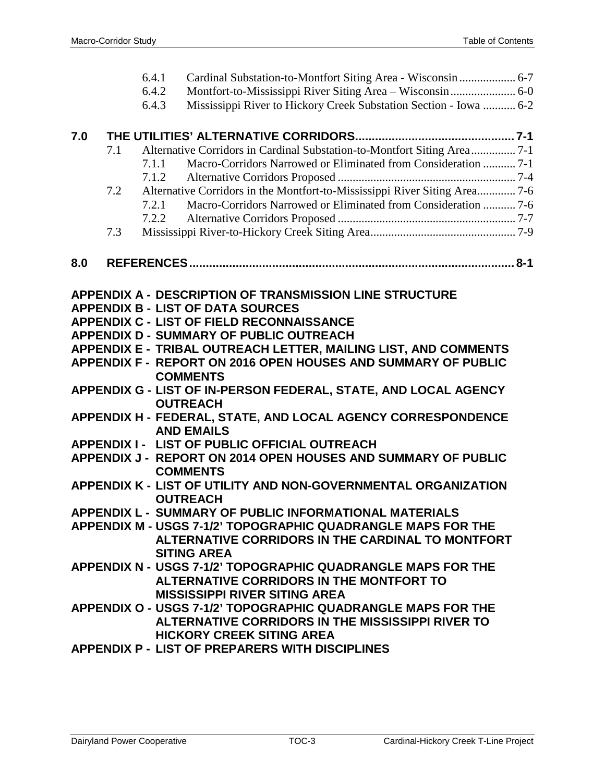|     |     | 6.4.1 |                                                                                         |  |
|-----|-----|-------|-----------------------------------------------------------------------------------------|--|
|     |     | 6.4.2 | Montfort-to-Mississippi River Siting Area - Wisconsin  6-0                              |  |
|     |     | 6.4.3 | Mississippi River to Hickory Creek Substation Section - Iowa  6-2                       |  |
|     |     |       |                                                                                         |  |
| 7.0 |     |       |                                                                                         |  |
|     | 7.1 |       | Alternative Corridors in Cardinal Substation-to-Montfort Siting Area 7-1                |  |
|     |     | 7.1.1 | Macro-Corridors Narrowed or Eliminated from Consideration  7-1                          |  |
|     |     | 7.1.2 |                                                                                         |  |
|     | 7.2 |       | Alternative Corridors in the Montfort-to-Mississippi River Siting Area 7-6              |  |
|     |     | 7.2.1 | Macro-Corridors Narrowed or Eliminated from Consideration  7-6                          |  |
|     |     | 7.2.2 |                                                                                         |  |
|     | 7.3 |       |                                                                                         |  |
| 8.0 |     |       |                                                                                         |  |
|     |     |       |                                                                                         |  |
|     |     |       | <b>APPENDIX A - DESCRIPTION OF TRANSMISSION LINE STRUCTURE</b>                          |  |
|     |     |       | <b>APPENDIX B - LIST OF DATA SOURCES</b>                                                |  |
|     |     |       | <b>APPENDIX C - LIST OF FIELD RECONNAISSANCE</b>                                        |  |
|     |     |       | <b>APPENDIX D - SUMMARY OF PUBLIC OUTREACH</b>                                          |  |
|     |     |       | APPENDIX E - TRIBAL OUTREACH LETTER, MAILING LIST, AND COMMENTS                         |  |
|     |     |       | APPENDIX F - REPORT ON 2016 OPEN HOUSES AND SUMMARY OF PUBLIC                           |  |
|     |     |       | <b>COMMENTS</b>                                                                         |  |
|     |     |       | APPENDIX G - LIST OF IN-PERSON FEDERAL, STATE, AND LOCAL AGENCY                         |  |
|     |     |       | <b>OUTREACH</b>                                                                         |  |
|     |     |       | APPENDIX H - FEDERAL, STATE, AND LOCAL AGENCY CORRESPONDENCE                            |  |
|     |     |       | <b>AND EMAILS</b>                                                                       |  |
|     |     |       | APPENDIX I - LIST OF PUBLIC OFFICIAL OUTREACH                                           |  |
|     |     |       | <b>APPENDIX J - REPORT ON 2014 OPEN HOUSES AND SUMMARY OF PUBLIC</b><br><b>COMMENTS</b> |  |
|     |     |       | APPENDIX K - LIST OF UTILITY AND NON-GOVERNMENTAL ORGANIZATION                          |  |
|     |     |       | <b>OUTREACH</b>                                                                         |  |
|     |     |       | APPENDIX L - SUMMARY OF PUBLIC INFORMATIONAL MATERIALS                                  |  |
|     |     |       | <b>APPENDIX M - USGS 7-1/2' TOPOGRAPHIC QUADRANGLE MAPS FOR THE</b>                     |  |
|     |     |       | ALTERNATIVE CORRIDORS IN THE CARDINAL TO MONTFORT                                       |  |
|     |     |       | <b>SITING AREA</b>                                                                      |  |
|     |     |       | APPENDIX N - USGS 7-1/2' TOPOGRAPHIC QUADRANGLE MAPS FOR THE                            |  |
|     |     |       | ALTERNATIVE CORRIDORS IN THE MONTFORT TO                                                |  |
|     |     |       | <b>MISSISSIPPI RIVER SITING AREA</b>                                                    |  |
|     |     |       | APPENDIX O - USGS 7-1/2' TOPOGRAPHIC QUADRANGLE MAPS FOR THE                            |  |
|     |     |       | ALTERNATIVE CORRIDORS IN THE MISSISSIPPI RIVER TO                                       |  |
|     |     |       | <b>HICKORY CREEK SITING AREA</b>                                                        |  |
|     |     |       | <b>APPENDIX P - LIST OF PREPARERS WITH DISCIPLINES</b>                                  |  |
|     |     |       |                                                                                         |  |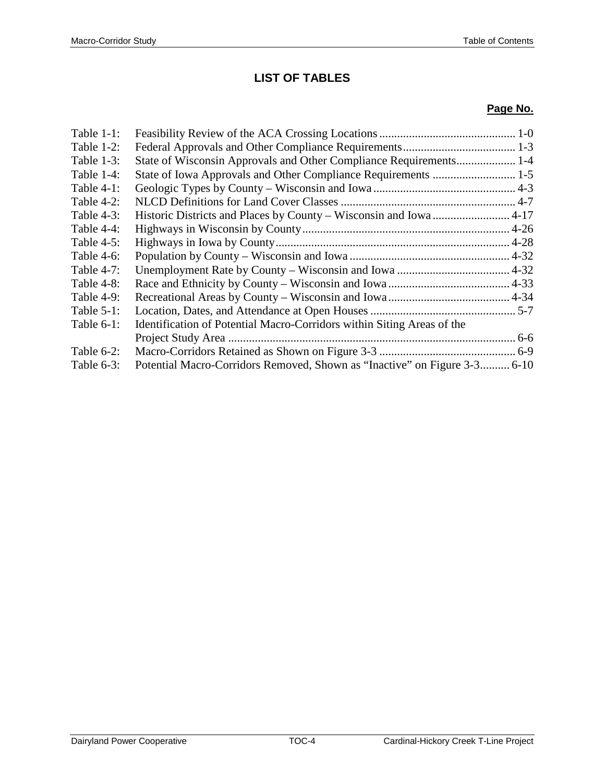# **LIST OF TABLES**

#### **Page No.**

| Table $1-1$ : |                                                                           |  |
|---------------|---------------------------------------------------------------------------|--|
| Table $1-2$ : |                                                                           |  |
| Table $1-3$ : | State of Wisconsin Approvals and Other Compliance Requirements 1-4        |  |
| Table $1-4$ : |                                                                           |  |
| Table $4-1$ : |                                                                           |  |
| Table $4-2$ : |                                                                           |  |
| Table $4-3$ : | Historic Districts and Places by County - Wisconsin and Iowa  4-17        |  |
| Table $4-4$ : |                                                                           |  |
| Table $4-5$ : |                                                                           |  |
| Table $4-6$ : |                                                                           |  |
| Table 4-7:    |                                                                           |  |
| Table 4-8:    |                                                                           |  |
| Table $4-9$ : |                                                                           |  |
| Table $5-1$ : |                                                                           |  |
| Table $6-1$ : | Identification of Potential Macro-Corridors within Siting Areas of the    |  |
|               |                                                                           |  |
| Table 6-2:    |                                                                           |  |
| Table $6-3$ : | Potential Macro-Corridors Removed, Shown as "Inactive" on Figure 3-3 6-10 |  |